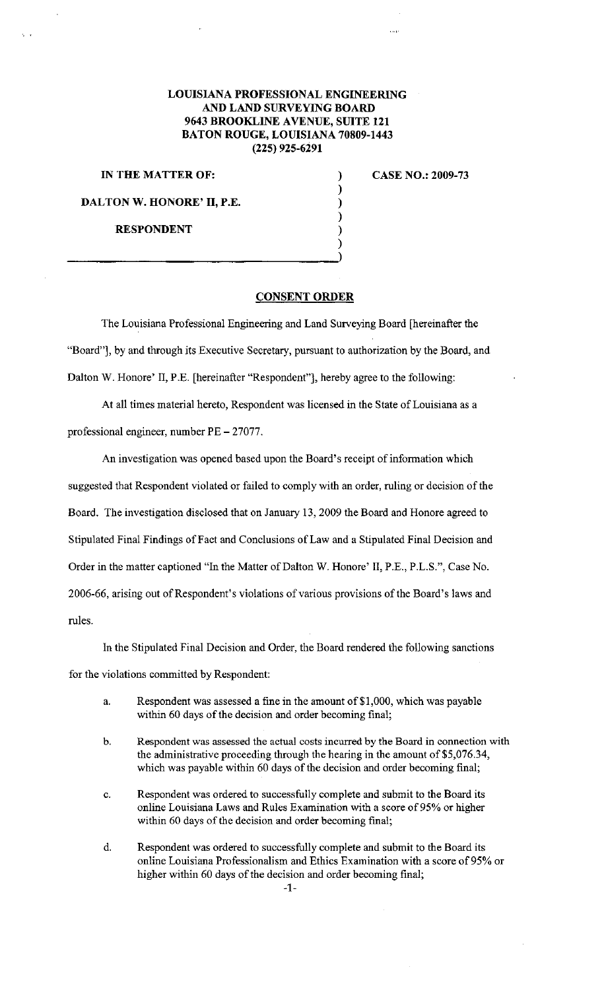## **LOUISIANA PROFESSIONAL ENGINEERING AND LAND SURVEYING BOARD 9643 BROOKLINE A VENUE, SUITE 121 BATON ROUGE, LOUISIANA 70809-1443 (225) 925-6291**

**IN THE MATTER OF: CASE NO.: 2009-73** 

**DALTON W. HONORE' II, P.E.** 

**RESPONDENT** 

## **CONSENT ORDER**

) ) ) ) ) )

The Louisiana Professional Engineering and Land Surveying Board [hereinafter the "Board"], by and through its Executive Secretary, pursuant to authorization by the Board, and Dalton W. Honore' II, P.E. [hereinafter "Respondent"), hereby agree to the following:

At all times material hereto, Respondent was licensed in the State of Louisiana as a professional engineer, number PE - 27077.

An investigation was opened based upon the Board's receipt of information which suggested that Respondent violated or failed to comply with an order, ruling or decision of the Board. The investigation disclosed that on January 13, 2009 the Board and Honore agreed to Stipulated Final Findings of Fact and Conclusions of Law and a Stipulated Final Decision and Order in the matter captioned "In the Matter of Dalton W. Honore' II, P.E., P.L.S.", Case No. 2006-66, arising out of Respondent's violations of various provisions of the Board's laws and rules.

In the Stipulated Final Decision and Order, the Board rendered the following sanctions for the violations committed by Respondent:

- a. Respondent was assessed a fine in the amount of \$1,000, which was payable within 60 days of the decision and order becoming final;
- b. Respondent was assessed the actual costs incurred by the Board in connection with the administrative proceeding through the hearing in the amount of \$5,076.34, which was payable within 60 days of the decision and order becoming final;
- c. Respondent was ordered to successfully complete and submit to the Board its online Louisiana Laws and Rules Examination with a score of 95% or higher within 60 days of the decision and order becoming final;
- d. Respondent was ordered to successfully complete and submit to the Board its online Louisiana Professionalism and Ethics Examination with a score of95% or higher within 60 days of the decision and order becoming final;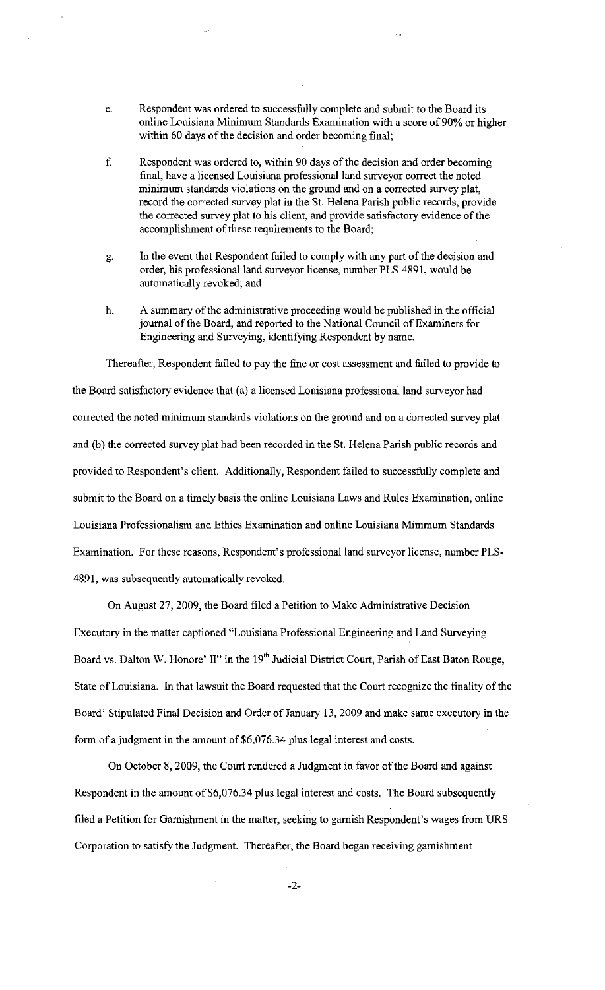- e. Respondent was ordered to successfully complete and submit to the Board its online Louisiana Minimum Standards Examination with a score of 90% or higher within 60 days of the decision and order becoming final;
- f. Respondent was ordered to, within 90 days of the decision and order becoming final, have a licensed Louisiana professional land surveyor correct the noted minimum standards violations on the ground and on a corrected survey plat, record the corrected survey plat in the St. Helena Parish public records, provide the corrected survey plat to his client, and provide satisfactory evidence of the accomplishment of these requirements to the Board;
- g. In the event that Respondent failed to comply with any part of the decision and order, his professional land surveyor license, number PLS-4891, would be automatically revoked; and
- h. A summary of the administrative proceeding would be published in the official journal of the Board, and reported to the National Council of Examiners for Engineering and Surveying, identifying Respondent by name.

Thereafter, Respondent failed to pay the fine or cost assessment and failed to provide to the Board satisfactory evidence that (a) a licensed Louisiana professional land surveyor had corrected the noted minimum standards violations on the ground and on a corrected survey plat and (b) the corrected survey plat had been recorded in the St. Helena Parish public records and provided to Respondent's client. Additionally, Respondent failed to successfully complete and submit to the Board on a timely basis the online Louisiana Laws and Rules Examination, online Louisiana Professionalism and Ethics Examination and online Louisiana Minimum Standards Examination. For these reasons, Respondent's professional land surveyor license, number PLS-4891, was subsequently automatically revoked.

On August 27, 2009, the Board filed a Petition to Make Administrative Decision

Executory in the matter captioned "Louisiana Professional Engineering and Land Surveying Board vs. Dalton W. Honore' II" in the 19<sup>th</sup> Judicial District Court, Parish of East Baton Rouge, State of Louisiana. In that lawsuit the Board requested that the Court recognize the finality of the Board' Stipulated Final Decision and Order of January 13, 2009 and make same executory in the form of a judgment in the amount of \$6,076.34 plus legal interest and costs.

On October 8, 2009, the Court rendered a Judgment in favor of the Board and against Respondent in the amount of \$6,076.34 plus legal interest and costs. The Board subsequently filed a Petition for Garnishment in the matter, seeking to garnish Respondent's wages from URS Corporation to satisfy the Judgment. Thereafter, the Board began receiving garnishment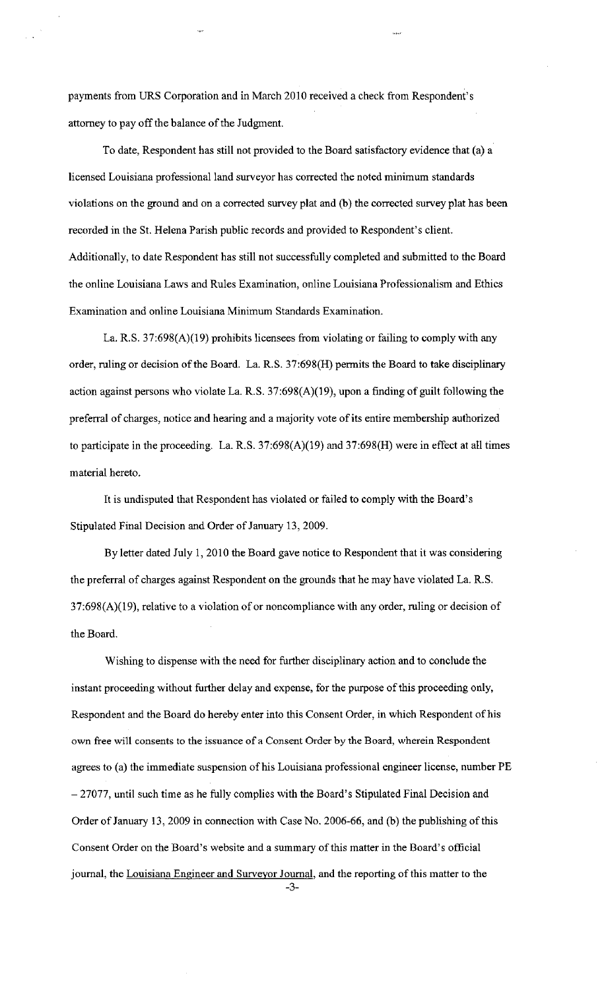payments from URS Corporation and in March 2010 received a check from Respondent's attorney to pay off the balance of the Judgment.

To date, Respondent has still not provided to the Board satisfactory evidence that (a) a licensed Louisiana professional land surveyor has corrected the noted minimum standards violations on the ground and on a corrected survey plat and (b) the corrected survey plat has been recorded in the St. Helena Parish public records and provided to Respondent's client. Additionally, to date Respondent has still not successfully completed and submitted to the Board the online Louisiana Laws and Rules Examination, online Louisiana Professionalism and Ethics Examination and online Louisiana Minimum Standards Examination.

La. R.S. 37:698(A)(19) prohibits licensees from violating or failing to comply with any order, ruling or decision of the Board. La. R.S. 37:698(H) permits the Board to take disciplinary action against persons who violate La. R.S. 37:698(A)(19), upon a finding of guilt following the preferral of charges, notice and hearing and a majority vote of its entire membership authorized to participate in the proceeding. La. R.S. 37:698(A)(19) and 37:698(H) were in effect at all times material hereto.

It is undisputed that Respondent has violated or failed to comply with the Board's Stipulated Final Decision and Order of January 13, 2009.

By letter dated July 1, 2010 the Board gave notice to Respondent that it was considering the preferral of charges against Respondent on the grounds that he may have violated La. R.S.  $37:698(A)(19)$ , relative to a violation of or noncompliance with any order, ruling or decision of the Board.

Wishing to dispense with the need for further disciplinary action and to conclude the instant proceeding without further delay and expense, for the purpose of this proceeding only, Respondent and the Board do hereby enter into this Consent Order, in which Respondent of his own free will consents to the issuance of a Consent Order by the Board, wherein Respondent agrees to (a) the immediate suspension of his Louisiana professional engineer license, number PE - 27077, until such time as he fully complies with the Board's Stipulated Final Decision and Order of January 13, 2009 in connection with Case No. 2006-66, and (b) the publishing of this Consent Order on the Board's website and a summary of this matter in the Board's official journal, the Louisiana Engineer and Surveyor Journal, and the reporting of this matter to the

-3-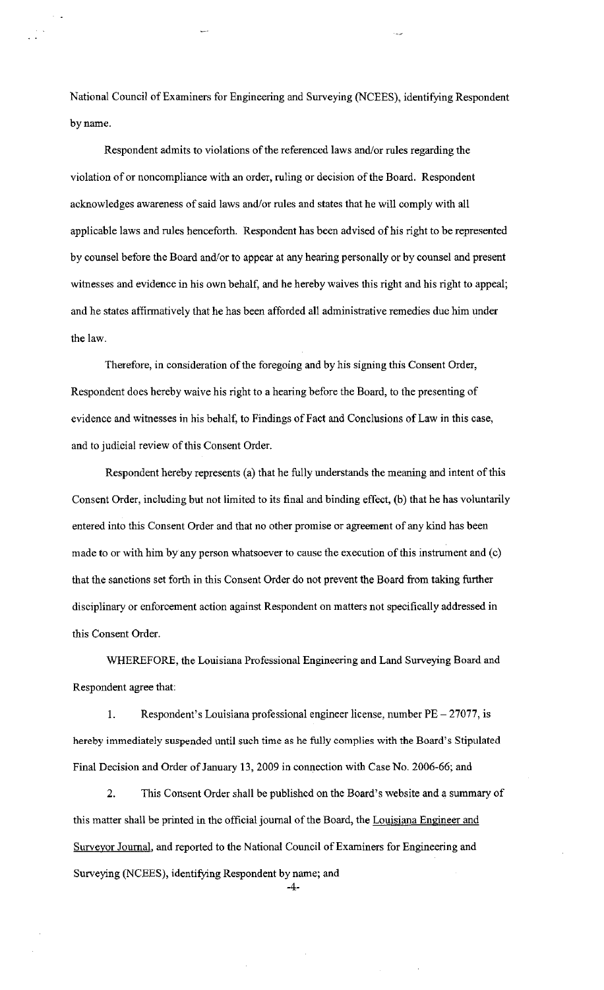National Council of Examiners for Engineering and Surveying (NCEES), identifying Respondent by name.

Respondent admits to violations of the referenced laws and/or rules regarding the violation of or noncompliance with an order, ruling or decision of the Board. Respondent acknowledges awareness of said laws and/or rules and states that he will comply with all applicable laws and rules henceforth. Respondent has been advised of his right to be represented by counsel before the Board and/or to appear at any hearing personally or by counsel and present witnesses and evidence in his own behalf, and he hereby waives this right and his right to appeal; and he states affirmatively that he has been afforded all administrative remedies due him under the law.

Therefore, in consideration of the foregoing and by his signing this Consent Order, Respondent does hereby waive his right to a hearing before the Board, to the presenting of evidence and witnesses in his behalf, to Findings of Fact and Conclusions of Law in this case, and to judicial review of this Consent Order.

Respondent hereby represents (a) that he fully understands the meaning and intent of this Consent Order, including but not limited to its final and binding effect, (b) that he has voluntarily entered into this Consent Order and that no other promise or agreement of any kind has been made to or with him by any person whatsoever to cause the execution of this instrument and (c) that the sanctions set forth in this Consent Order do not prevent the Board from taking further disciplinary or enforcement action against Respondent on matters not specifically addressed in this Consent Order.

WHEREFORE, the Louisiana Professional Engineering and Land Surveying Board and Respondent agree that:

1. Respondent's Louisiana professional engineer license, number PE - 27077, is hereby immediately suspended until such time as he fully complies with the Board's Stipulated Final Decision and Order of January 13, 2009 in connection with Case No. 2006-66; and

2. This Consent Order shall be published on the Board's website and a summary of this matter shall be printed in the official journal of the Board, the Louisiana Engineer and Surveyor Journal, and reported to the National Council of Examiners for Engineering and Surveying (NCEES), identifying Respondent by name; and

-4-